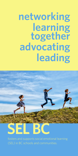# **networking learning together advocating leading**



**SEL BC**

fosters and supports social emotional learning (SEL) in BC schools and communities.